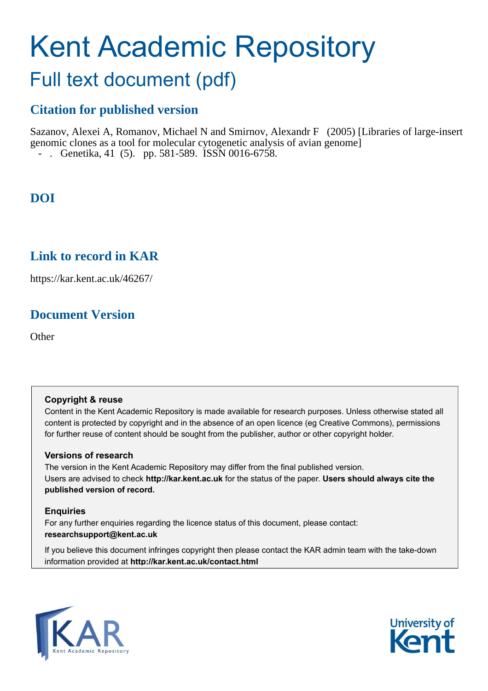# Kent Academic Repository

## Full text document (pdf)

## **Citation for published version**

Sazanov, Alexei A, Romanov, Michael N and Smirnov, Alexandr F (2005) [Libraries of large-insert genomic clones as a tool for molecular cytogenetic analysis of avian genome] - . Genetika, 41 (5). pp. 581-589. ISSN 0016-6758.

## **DOI**

## **Link to record in KAR**

https://kar.kent.ac.uk/46267/

## **Document Version**

**Other** 

#### **Copyright & reuse**

Content in the Kent Academic Repository is made available for research purposes. Unless otherwise stated all content is protected by copyright and in the absence of an open licence (eg Creative Commons), permissions for further reuse of content should be sought from the publisher, author or other copyright holder.

#### **Versions of research**

The version in the Kent Academic Repository may differ from the final published version. Users are advised to check **http://kar.kent.ac.uk** for the status of the paper. **Users should always cite the published version of record.**

#### **Enquiries**

For any further enquiries regarding the licence status of this document, please contact: **researchsupport@kent.ac.uk**

If you believe this document infringes copyright then please contact the KAR admin team with the take-down information provided at **http://kar.kent.ac.uk/contact.html**



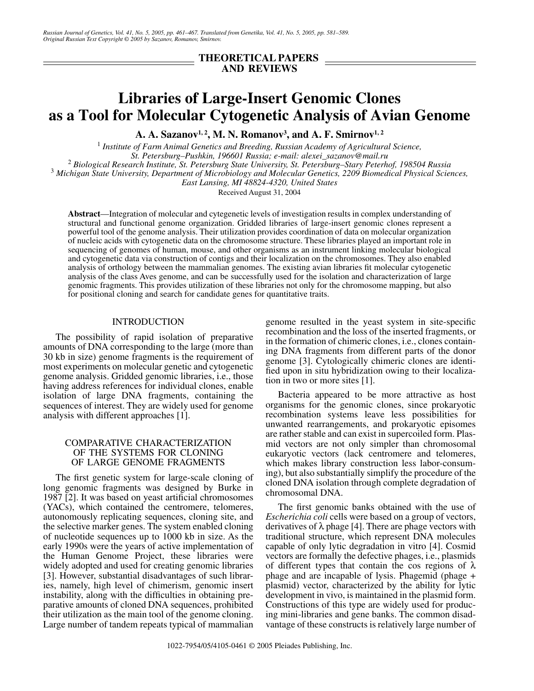#### **THEORETICAL PAPERS AND REVIEWS**

## **Libraries of Large-Insert Genomic Clones as a Tool for Molecular Cytogenetic Analysis of Avian Genome**

A. A. Sazanov<sup>1, 2</sup>, M. N. Romanov<sup>3</sup>, and A. F. Smirnov<sup>1, 2</sup>

<sup>1</sup> Institute of Farm Animal Genetics and Breeding, Russian Academy of Agricultural Science, *St. Petersburg–Pushkin, 196601 Russia; e-mail: alexei\_sazanov@mail.ru* <sup>2</sup>  *Biological Research Institute, St. Petersburg State University, St. Petersburg–Stary Peterhof, 198504 Russia* <sup>3</sup>  *Michigan State University, Department of Microbiology and Molecular Genetics, 2209 Biomedical Physical Sciences, East Lansing, MI 48824-4320, United States*

Received August 31, 2004

**Abstract**—Integration of molecular and cytegenetic levels of investigation results in complex understanding of structural and functional genome organization. Gridded libraries of large-insert genomic clones represent a powerful tool of the genome analysis. Their utilization provides coordination of data on molecular organization of nucleic acids with cytogenetic data on the chromosome structure. These libraries played an important role in sequencing of genomes of human, mouse, and other organisms as an instrument linking molecular biological and cytogenetic data via construction of contigs and their localization on the chromosomes. They also enabled analysis of orthology between the mammalian genomes. The existing avian libraries fit molecular cytogenetic analysis of the class Aves genome, and can be successfully used for the isolation and characterization of large genomic fragments. This provides utilization of these libraries not only for the chromosome mapping, but also for positional cloning and search for candidate genes for quantitative traits.

#### INTRODUCTION

The possibility of rapid isolation of preparative amounts of DNA corresponding to the large (more than 30 kb in size) genome fragments is the requirement of most experiments on molecular genetic and cytogenetic genome analysis. Gridded genomic libraries, i.e., those having address references for individual clones, enable isolation of large DNA fragments, containing the sequences of interest. They are widely used for genome analysis with different approaches [1].

#### COMPARATIVE CHARACTERIZATION OF THE SYSTEMS FOR CLONING OF LARGE GENOME FRAGMENTS

The first genetic system for large-scale cloning of long genomic fragments was designed by Burke in 1987 [2]. It was based on yeast artificial chromosomes (YACs), which contained the centromere, telomeres, autonomously replicating sequences, cloning site, and the selective marker genes. The system enabled cloning of nucleotide sequences up to 1000 kb in size. As the early 1990s were the years of active implementation of the Human Genome Project, these libraries were widely adopted and used for creating genomic libraries [3]. However, substantial disadvantages of such libraries, namely, high level of chimerism, genomic insert instability, along with the difficulties in obtaining preparative amounts of cloned DNA sequences, prohibited their utilization as the main tool of the genome cloning. Large number of tandem repeats typical of mammalian genome resulted in the yeast system in site-specific recombination and the loss of the inserted fragments, or in the formation of chimeric clones, i.e., clones containing DNA fragments from different parts of the donor genome [3]. Cytologically chimeric clones are identified upon in situ hybridization owing to their localization in two or more sites [1].

Bacteria appeared to be more attractive as host organisms for the genomic clones, since prokaryotic recombination systems leave less possibilities for unwanted rearrangements, and prokaryotic episomes are rather stable and can exist in supercoiled form. Plasmid vectors are not only simpler than chromosomal eukaryotic vectors (lack centromere and telomeres, which makes library construction less labor-consuming), but also substantially simplify the procedure of the cloned DNA isolation through complete degradation of chromosomal DNA.

The first genomic banks obtained with the use of *Escherichia coli* cells were based on a group of vectors, derivatives of  $\lambda$  phage [4]. There are phage vectors with traditional structure, which represent DNA molecules capable of only lytic degradation in vitro [4]. Cosmid vectors are formally the defective phages, i.e., plasmids of different types that contain the cos regions of  $\lambda$ phage and are incapable of lysis. Phagemid (phage + plasmid) vector, characterized by the ability for lytic development in vivo, is maintained in the plasmid form. Constructions of this type are widely used for producing mini-libraries and gene banks. The common disadvantage of these constructs is relatively large number of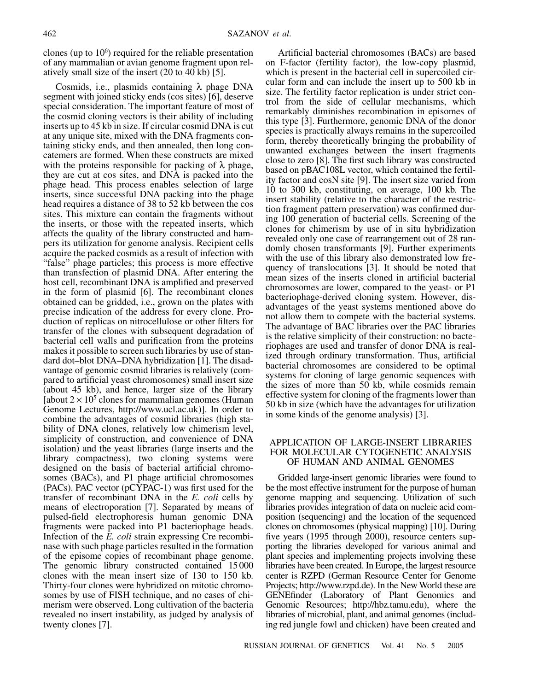clones (up to  $10<sup>6</sup>$ ) required for the reliable presentation of any mammalian or avian genome fragment upon relatively small size of the insert (20 to 40 kb) [5].

Cosmids, i.e., plasmids containing  $\lambda$  phage DNA segment with joined sticky ends (cos sites) [6], deserve special consideration. The important feature of most of the cosmid cloning vectors is their ability of including inserts up to 45 kb in size. If circular cosmid DNA is cut at any unique site, mixed with the DNA fragments containing sticky ends, and then annealed, then long concatemers are formed. When these constructs are mixed with the proteins responsible for packing of  $\lambda$  phage, they are cut at cos sites, and DNA is packed into the phage head. This process enables selection of large inserts, since successful DNA packing into the phage head requires a distance of 38 to 52 kb between the cos sites. This mixture can contain the fragments without the inserts, or those with the repeated inserts, which affects the quality of the library constructed and hampers its utilization for genome analysis. Recipient cells acquire the packed cosmids as a result of infection with "false" phage particles; this process is more effective than transfection of plasmid DNA. After entering the host cell, recombinant DNA is amplified and preserved in the form of plasmid [6]. The recombinant clones obtained can be gridded, i.e., grown on the plates with precise indication of the address for every clone. Production of replicas on nitrocellulose or other filters for transfer of the clones with subsequent degradation of bacterial cell walls and purification from the proteins makes it possible to screen such libraries by use of standard dot–blot DNA–DNA hybridization [1]. The disadvantage of genomic cosmid libraries is relatively (compared to artificial yeast chromosomes) small insert size (about 45 kb), and hence, larger size of the library [about  $2 \times 10^5$  clones for mammalian genomes (Human Genome Lectures, http://www.ucl.ac.uk)]. In order to combine the advantages of cosmid libraries (high stability of DNA clones, relatively low chimerism level, simplicity of construction, and convenience of DNA isolation) and the yeast libraries (large inserts and the library compactness), two cloning systems were designed on the basis of bacterial artificial chromosomes (BACs), and P1 phage artificial chromosomes (PACs). PAC vector (pCYPAC-1) was first used for the transfer of recombinant DNA in the *E. coli* cells by means of electroporation [7]. Separated by means of pulsed-field electrophoresis human genomic DNA fragments were packed into P1 bacteriophage heads. Infection of the *E. coli* strain expressing Cre recombinase with such phage particles resulted in the formation of the episome copies of recombinant phage genome. The genomic library constructed contained 15 000 clones with the mean insert size of 130 to 150 kb. Thirty-four clones were hybridized on mitotic chromosomes by use of FISH technique, and no cases of chimerism were observed. Long cultivation of the bacteria revealed no insert instability, as judged by analysis of twenty clones [7].

Artificial bacterial chromosomes (BACs) are based on F-factor (fertility factor), the low-copy plasmid, which is present in the bacterial cell in supercoiled circular form and can include the insert up to 500 kb in size. The fertility factor replication is under strict control from the side of cellular mechanisms, which remarkably diminishes recombination in episomes of this type [3]. Furthermore, genomic DNA of the donor species is practically always remains in the supercoiled form, thereby theoretically bringing the probability of unwanted exchanges between the insert fragments close to zero [8]. The first such library was constructed based on pBAC108L vector, which contained the fertility factor and cosN site [9]. The insert size varied from 10 to 300 kb, constituting, on average, 100 kb. The insert stability (relative to the character of the restriction fragment pattern preservation) was confirmed during 100 generation of bacterial cells. Screening of the clones for chimerism by use of in situ hybridization revealed only one case of rearrangement out of 28 randomly chosen transformants [9]. Further experiments with the use of this library also demonstrated low frequency of translocations [3]. It should be noted that mean sizes of the inserts cloned in artificial bacterial chromosomes are lower, compared to the yeast- or P1 bacteriophage-derived cloning system. However, disadvantages of the yeast systems mentioned above do not allow them to compete with the bacterial systems. The advantage of BAC libraries over the PAC libraries is the relative simplicity of their construction: no bacteriophages are used and transfer of donor DNA is realized through ordinary transformation. Thus, artificial bacterial chromosomes are considered to be optimal systems for cloning of large genomic sequences with the sizes of more than 50 kb, while cosmids remain effective system for cloning of the fragments lower than 50 kb in size (which have the advantages for utilization in some kinds of the genome analysis) [3].

#### APPLICATION OF LARGE-INSERT LIBRARIES FOR MOLECULAR CYTOGENETIC ANALYSIS OF HUMAN AND ANIMAL GENOMES

Gridded large-insert genomic libraries were found to be the most effective instrument for the purpose of human genome mapping and sequencing. Utilization of such libraries provides integration of data on nucleic acid composition (sequencing) and the location of the sequenced clones on chromosomes (physical mapping) [10]. During five years (1995 through 2000), resource centers supporting the libraries developed for various animal and plant species and implementing projects involving these libraries have been created. In Europe, the largest resource center is RZPD (German Resource Center for Genome Projects; http://www.rzpd.de). In the New World these are GENEfinder (Laboratory of Plant Genomics and Genomic Resources; http://hbz.tamu.edu), where the libraries of microbial, plant, and animal genomes (including red jungle fowl and chicken) have been created and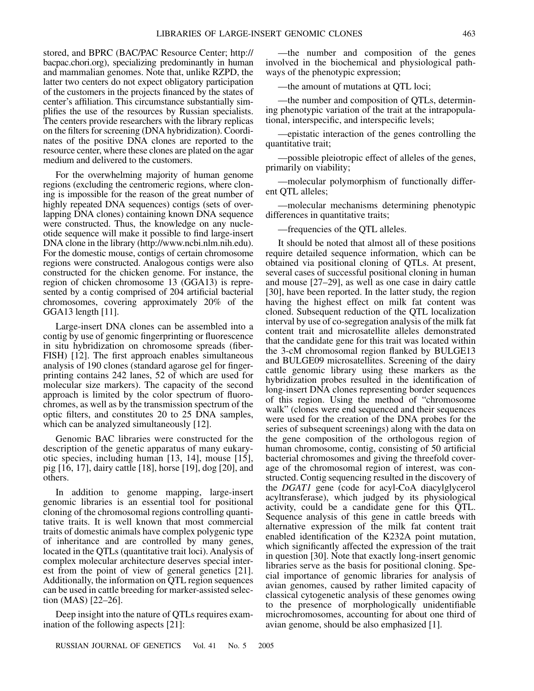stored, and BPRC (BAC/PAC Resource Center; http:// bacpac.chori.org), specializing predominantly in human and mammalian genomes. Note that, unlike RZPD, the latter two centers do not expect obligatory participation of the customers in the projects financed by the states of center's affiliation. This circumstance substantially simplifies the use of the resources by Russian specialists. The centers provide researchers with the library replicas on the filters for screening (DNA hybridization). Coordinates of the positive DNA clones are reported to the resource center, where these clones are plated on the agar medium and delivered to the customers.

For the overwhelming majority of human genome regions (excluding the centromeric regions, where cloning is impossible for the reason of the great number of highly repeated DNA sequences) contigs (sets of overlapping DNA clones) containing known DNA sequence were constructed. Thus, the knowledge on any nucleotide sequence will make it possible to find large-insert DNA clone in the library (http://www.ncbi.nlm.nih.edu). For the domestic mouse, contigs of certain chromosome regions were constructed. Analogous contigs were also constructed for the chicken genome. For instance, the region of chicken chromosome 13 (GGA13) is represented by a contig comprised of 204 artificial bacterial chromosomes, covering approximately 20% of the GGA13 length [11].

Large-insert DNA clones can be assembled into a contig by use of genomic fingerprinting or fluorescence in situ hybridization on chromosome spreads (fiber-FISH) [12]. The first approach enables simultaneous analysis of 190 clones (standard agarose gel for fingerprinting contains 242 lanes, 52 of which are used for molecular size markers). The capacity of the second approach is limited by the color spectrum of fluorochromes, as well as by the transmission spectrum of the optic filters, and constitutes 20 to 25 DNA samples, which can be analyzed simultaneously [12].

Genomic BAC libraries were constructed for the description of the genetic apparatus of many eukaryotic species, including human [13, 14], mouse [15], pig [16, 17], dairy cattle [18], horse [19], dog [20], and others.

In addition to genome mapping, large-insert genomic libraries is an essential tool for positional cloning of the chromosomal regions controlling quantitative traits. It is well known that most commercial traits of domestic animals have complex polygenic type of inheritance and are controlled by many genes, located in the QTLs (quantitative trait loci). Analysis of complex molecular architecture deserves special interest from the point of view of general genetics [21]. Additionally, the information on QTL region sequences can be used in cattle breeding for marker-assisted selection (MAS) [22–26].

Deep insight into the nature of QTLs requires examination of the following aspects [21]:

—the number and composition of the genes involved in the biochemical and physiological pathways of the phenotypic expression;

—the amount of mutations at QTL loci;

—the number and composition of QTLs, determining phenotypic variation of the trait at the intrapopulational, interspecific, and interspecific levels;

—epistatic interaction of the genes controlling the quantitative trait;

—possible pleiotropic effect of alleles of the genes, primarily on viability;

—molecular polymorphism of functionally different QTL alleles;

—molecular mechanisms determining phenotypic differences in quantitative traits;

—frequencies of the QTL alleles.

It should be noted that almost all of these positions require detailed sequence information, which can be obtained via positional cloning of QTLs. At present, several cases of successful positional cloning in human and mouse [27–29], as well as one case in dairy cattle [30], have been reported. In the latter study, the region having the highest effect on milk fat content was cloned. Subsequent reduction of the QTL localization interval by use of co-segregation analysis of the milk fat content trait and microsatellite alleles demonstrated that the candidate gene for this trait was located within the 3-cM chromosomal region flanked by BULGE13 and BULGE09 microsatellites. Screening of the dairy cattle genomic library using these markers as the hybridization probes resulted in the identification of long-insert DNA clones representing border sequences of this region. Using the method of "chromosome walk" (clones were end sequenced and their sequences were used for the creation of the DNA probes for the series of subsequent screenings) along with the data on the gene composition of the orthologous region of human chromosome, contig, consisting of 50 artificial bacterial chromosomes and giving the threefold coverage of the chromosomal region of interest, was constructed. Contig sequencing resulted in the discovery of the *DGAT1* gene (code for acyl-CoA diacylglycerol acyltransferase), which judged by its physiological activity, could be a candidate gene for this QTL. Sequence analysis of this gene in cattle breeds with alternative expression of the milk fat content trait enabled identification of the K232A point mutation, which significantly affected the expression of the trait in question [30]. Note that exactly long-insert genomic libraries serve as the basis for positional cloning. Special importance of genomic libraries for analysis of avian genomes, caused by rather limited capacity of classical cytogenetic analysis of these genomes owing to the presence of morphologically unidentifiable microchromosomes, accounting for about one third of avian genome, should be also emphasized [1].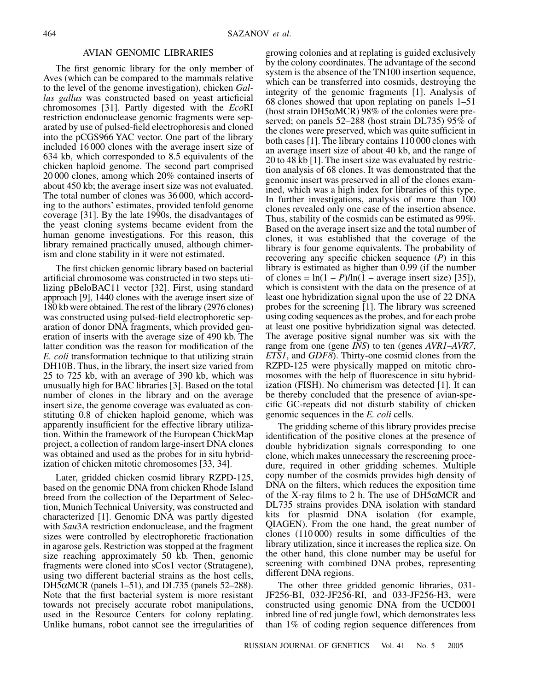#### AVIAN GENOMIC LIBRARIES

The first genomic library for the only member of Aves (which can be compared to the mammals relative to the level of the genome investigation), chicken *Gallus gallus* was constructed based on yeast articficial chromosomes [31]. Partly digested with the *Eco*RI restriction endonuclease genomic fragments were separated by use of pulsed-field electrophoresis and cloned into the pCGS966 YAC vector. One part of the library included 16 000 clones with the average insert size of 634 kb, which corresponded to 8.5 equivalents of the chicken haploid genome. The second part comprised 20 000 clones, among which 20% contained inserts of about 450 kb; the average insert size was not evaluated. The total number of clones was 36 000, which according to the authors' estimates, provided tenfold genome coverage [31]. By the late 1990s, the disadvantages of the yeast cloning systems became evident from the human genome investigations. For this reason, this library remained practically unused, although chimerism and clone stability in it were not estimated.

The first chicken genomic library based on bacterial artificial chromosome was constructed in two steps utilizing pBeloBAC11 vector [32]. First, using standard approach [9], 1440 clones with the average insert size of 180 kb were obtained. The rest of the library (2976 clones) was constructed using pulsed-field electrophoretic separation of donor DNA fragments, which provided generation of inserts with the average size of 490 kb. The latter condition was the reason for modification of the *E. coli* transformation technique to that utilizing strain DH10B. Thus, in the library, the insert size varied from 25 to 725 kb, with an average of 390 kb, which was unusually high for BAC libraries [3]. Based on the total number of clones in the library and on the average insert size, the genome coverage was evaluated as constituting 0.8 of chicken haploid genome, which was apparently insufficient for the effective library utilization. Within the framework of the European ChickMap project, a collection of random large-insert DNA clones was obtained and used as the probes for in situ hybridization of chicken mitotic chromosomes [33, 34].

Later, gridded chicken cosmid library RZPD-125, based on the genomic DNA from chicken Rhode Island breed from the collection of the Department of Selection, Munich Technical University, was constructed and characterized [1]. Genomic DNA was partly digested with *Sau*3A restriction endonuclease, and the fragment sizes were controlled by electrophoretic fractionation in agarose gels. Restriction was stopped at the fragment size reaching approximately 50 kb. Then, genomic fragments were cloned into sCos1 vector (Stratagene), using two different bacterial strains as the host cells, DH5αMCR (panels 1–51), and DL735 (panels 52–288). Note that the first bacterial system is more resistant towards not precisely accurate robot manipulations, used in the Resource Centers for colony replating. Unlike humans, robot cannot see the irregularities of growing colonies and at replating is guided exclusively by the colony coordinates. The advantage of the second system is the absence of the TN100 insertion sequence, which can be transferred into cosmids, destroying the integrity of the genomic fragments [1]. Analysis of 68 clones showed that upon replating on panels 1–51 (host strain DH5 $\alpha$ MCR) 98% of the colonies were preserved; on panels 52–288 (host strain DL735) 95% of the clones were preserved, which was quite sufficient in both cases [1]. The library contains 110 000 clones with an average insert size of about 40 kb, and the range of 20 to 48 kb [1]. The insert size was evaluated by restriction analysis of 68 clones. It was demonstrated that the genomic insert was preserved in all of the clones examined, which was a high index for libraries of this type. In further investigations, analysis of more than 100 clones revealed only one case of the insertion absence. Thus, stability of the cosmids can be estimated as 99%. Based on the average insert size and the total number of clones, it was established that the coverage of the library is four genome equivalents. The probability of recovering any specific chicken sequence (*P*) in this library is estimated as higher than 0.99 (if the number of clones =  $\ln(1 - P)/\ln(1 - \text{average insert size})$  [35]), which is consistent with the data on the presence of at least one hybridization signal upon the use of 22 DNA probes for the screening [1]. The library was screened using coding sequences as the probes, and for each probe at least one positive hybridization signal was detected. The average positive signal number was six with the range from one (gene *INS*) to ten (genes *AVR1*–*AVR7*, *ETS1*, and *GDF8*). Thirty-one cosmid clones from the RZPD-125 were physically mapped on mitotic chromosomes with the help of fluorescence in situ hybridization (FISH). No chimerism was detected [1]. It can be thereby concluded that the presence of avian-specific GC-repeats did not disturb stability of chicken genomic sequences in the *E. coli* cells.

The gridding scheme of this library provides precise identification of the positive clones at the presence of double hybridization signals corresponding to one clone, which makes unnecessary the rescreening procedure, required in other gridding schemes. Multiple copy number of the cosmids provides high density of DNA on the filters, which reduces the exposition time of the X-ray films to 2 h. The use of DH5αMCR and DL735 strains provides DNA isolation with standard kits for plasmid DNA isolation (for example, QIAGEN). From the one hand, the great number of clones (110 000) results in some difficulties of the library utilization, since it increases the replica size. On the other hand, this clone number may be useful for screening with combined DNA probes, representing different DNA regions.

The other three gridded genomic libraries, 031- JF256-BI, 032-JF256-RI, and 033-JF256-H3, were constructed using genomic DNA from the UCD001 inbred line of red jungle fowl, which demonstrates less than 1% of coding region sequence differences from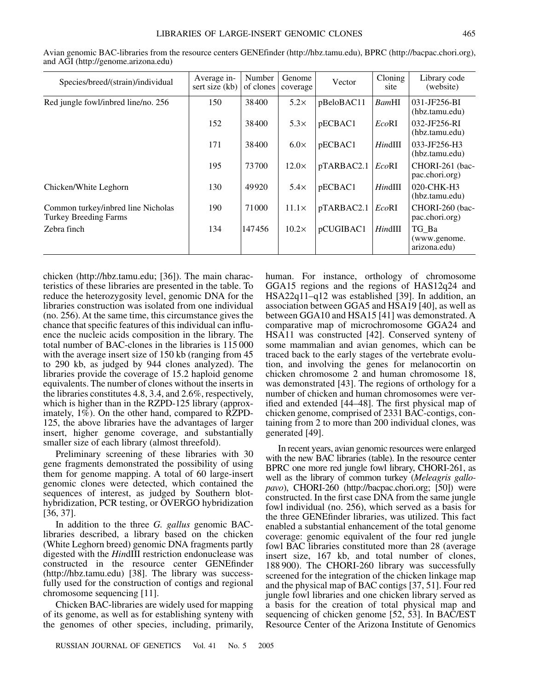| Species/breed/(strain)/individual                                  | Average in-<br>sert size (kb) | Number<br>of clones | Genome<br>coverage | Vector     | Cloning<br>site | Library code<br>(website)             |
|--------------------------------------------------------------------|-------------------------------|---------------------|--------------------|------------|-----------------|---------------------------------------|
| Red jungle fowl/inbred line/no. 256                                | 150                           | 38400               | $5.2\times$        | pBeloBAC11 | <b>BamHI</b>    | 031-JF256-BI<br>(hbz.tamu.edu)        |
|                                                                    | 152                           | 38400               | $5.3\times$        | pECBAC1    | EcoRI           | 032-JF256-RI<br>(hbz.tamu.edu)        |
|                                                                    | 171                           | 38400               | $6.0\times$        | pECBAC1    | HindIII         | 033-JF256-H3<br>(hbz.tamu.edu)        |
|                                                                    | 195                           | 73700               | $12.0\times$       | pTARBAC2.1 | EcoRI           | CHORI-261 (bac-<br>pac.chori.org)     |
| Chicken/White Leghorn                                              | 130                           | 49920               | $5.4\times$        | pECBAC1    | HindIII         | $020$ -CHK-H3<br>(hbz.tamu.edu)       |
| Common turkey/inbred line Nicholas<br><b>Turkey Breeding Farms</b> | 190                           | 71000               | $11.1\times$       | pTARBAC2.1 | EcoRI           | CHORI-260 (bac-<br>pac.chori.org)     |
| Zebra finch                                                        | 134                           | 147456              | $10.2\times$       | pCUGIBAC1  | HindIII         | TG Ba<br>(www.genome.<br>arizona.edu) |

Avian genomic BAC-libraries from the resource centers GENEfinder (http://hbz.tamu.edu), BPRC (http://bacpac.chori.org), and AGI (http://genome.arizona.edu)

chicken (http://hbz.tamu.edu; [36]). The main characteristics of these libraries are presented in the table. To reduce the heterozygosity level, genomic DNA for the libraries construction was isolated from one individual (no. 256). At the same time, this circumstance gives the chance that specific features of this individual can influence the nucleic acids composition in the library. The total number of BAC-clones in the libraries is 115 000 with the average insert size of 150 kb (ranging from 45) to 290 kb, as judged by 944 clones analyzed). The libraries provide the coverage of 15.2 haploid genome equivalents. The number of clones without the inserts in the libraries constitutes 4.8, 3.4, and 2.6%, respectively, which is higher than in the RZPD-125 library (approximately, 1%). On the other hand, compared to RZPD-125, the above libraries have the advantages of larger insert, higher genome coverage, and substantially smaller size of each library (almost threefold).

Preliminary screening of these libraries with 30 gene fragments demonstrated the possibility of using them for genome mapping. A total of 60 large-insert genomic clones were detected, which contained the sequences of interest, as judged by Southern blothybridization, PCR testing, or OVERGO hybridization [36, 37].

In addition to the three *G. gallus* genomic BAClibraries described, a library based on the chicken (White Leghorn breed) genomic DNA fragments partly digested with the *Hin*dIII restriction endonuclease was constructed in the resource center GENEfinder (http://hbz.tamu.edu) [38]. The library was successfully used for the construction of contigs and regional chromosome sequencing [11].

Chicken BAC-libraries are widely used for mapping of its genome, as well as for establishing synteny with the genomes of other species, including, primarily,

RUSSIAN JOURNAL OF GENETICS Vol. 41 No. 5 2005

human. For instance, orthology of chromosome GGA15 regions and the regions of HAS12q24 and HSA22q11–q12 was established [39]. In addition, an association between GGA5 and HSA19 [40], as well as between GGA10 and HSA15 [41] was demonstrated. A comparative map of microchromosome GGA24 and HSA11 was constructed [42]. Conserved synteny of some mammalian and avian genomes, which can be traced back to the early stages of the vertebrate evolution, and involving the genes for melanocortin on chicken chromosome 2 and human chromosome 18, was demonstrated [43]. The regions of orthology for a number of chicken and human chromosomes were verified and extended [44–48]. The first physical map of chicken genome, comprised of 2331 BAC-contigs, containing from 2 to more than 200 individual clones, was generated [49].

In recent years, avian genomic resources were enlarged with the new BAC libraries (table). In the resource center BPRC one more red jungle fowl library, CHORI-261, as well as the library of common turkey (*Meleagris gallopavo*), CHORI-260 (http://bacpac.chori.org; [50]) were constructed. In the first case DNA from the same jungle fowl individual (no. 256), which served as a basis for the three GENEfinder libraries, was utilized. This fact enabled a substantial enhancement of the total genome coverage: genomic equivalent of the four red jungle fowl BAC libraries constituted more than 28 (average insert size, 167 kb, and total number of clones, 188 900). The CHORI-260 library was successfully screened for the integration of the chicken linkage map and the physical map of BAC contigs [37, 51]. Four red jungle fowl libraries and one chicken library served as a basis for the creation of total physical map and sequencing of chicken genome [52, 53]. In BAC/EST Resource Center of the Arizona Institute of Genomics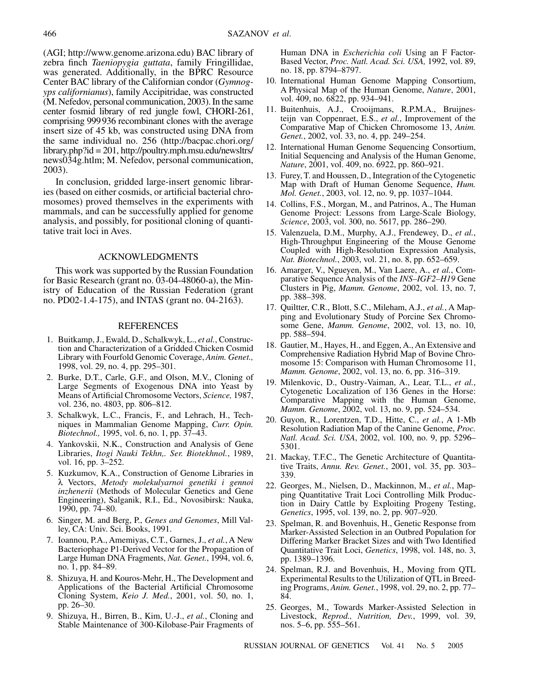(AGI; http://www.genome.arizona.edu) BAC library of zebra finch *Taeniopygia guttata*, family Fringillidae, was generated. Additionally, in the BPRC Resource Center BAC library of the Californian condor (*Gymnogyps californianus*), family Accipitridae, was constructed (M. Nefedov, personal communication, 2003). In the same center fosmid library of red jungle fowl, CHORI-261, comprising 999936 recombinant clones with the average insert size of 45 kb, was constructed using DNA from the same individual no. 256 (http://bacpac.chori.org/ library.php?id = 201, http://poultry.mph.msu.edu/newsltrs/ news034g.htlm; M. Nefedov, personal communication, 2003).

In conclusion, gridded large-insert genomic libraries (based on either cosmids, or artificial bacterial chromosomes) proved themselves in the experiments with mammals, and can be successfully applied for genome analysis, and possibly, for positional cloning of quantitative trait loci in Aves.

#### ACKNOWLEDGMENTS

This work was supported by the Russian Foundation for Basic Research (grant no. 03-04-48060-a), the Ministry of Education of the Russian Federation (grant no. PD02-1.4-175), and INTAS (grant no. 04-2163).

#### REFERENCES

- 1. Buitkamp, J., Ewald, D., Schalkwyk, L., *et al.*, Construction and Characterization of a Gridded Chicken Cosmid Library with Fourfold Genomic Coverage, *Anim. Genet.,* 1998, vol. 29, no. 4, pp. 295–301.
- 2. Burke, D.T., Carle, G.F., and Olson, M.V., Cloning of Large Segments of Exogenous DNA into Yeast by Means of Artificial Chromosome Vectors, *Science,* 1987, vol. 236, no. 4803, pp. 806–812.
- 3. Schalkwyk, L.C., Francis, F., and Lehrach, H., Techniques in Mammalian Genome Mapping, *Curr. Opin. Biotechnol.,* 1995, vol. 6, no. 1, pp. 37–43.
- 4. Yankovskii, N.K., Construction and Analysis of Gene Libraries, *Itogi Nauki Tekhn,. Ser. Biotekhnol.*, 1989, vol. 16, pp. 3–252.
- 5. Kuzkumov, K.A., Construction of Genome Libraries in λ Vectors, *Metody molekulyarnoi genetiki i gennoi inzhenerii* (Methods of Molecular Genetics and Gene Engineering), Salganik, R.I., Ed., Novosibirsk: Nauka, 1990, pp. 74–80.
- 6. Singer, M. and Berg, P., *Genes and Genomes*, Mill Valley, CA: Univ. Sci. Books, 1991.
- 7. Ioannou, P.A., Amemiyas, C.T., Garnes, J., *et al.*, A New Bacteriophage P1-Derived Vector for the Propagation of Large Human DNA Fragments, *Nat. Genet.*, 1994, vol. 6, no. 1, pp. 84–89.
- 8. Shizuya, H. and Kouros-Mehr, H., The Development and Applications of the Bacterial Artificial Chromosome Cloning System, *Keio J. Med.*, 2001, vol. 50, no. 1, pp. 26–30.
- 9. Shizuya, H., Birren, B., Kim, U.-J., *et al.*, Cloning and Stable Maintenance of 300-Kilobase-Pair Fragments of

Human DNA in *Escherichia coli* Using an F Factor-Based Vector, *Proc. Natl. Acad. Sci. USA,* 1992, vol. 89, no. 18, pp. 8794–8797.

- 10. International Human Genome Mapping Consortium, A Physical Map of the Human Genome, *Nature*, 2001, vol. 409, no. 6822, pp. 934–941.
- 11. Buitenhuis, A.J., Crooijmans, R.P.M.A., Bruijnesteijn van Coppenraet, E.S., *et al.*, Improvement of the Comparative Map of Chicken Chromosome 13, *Anim. Genet.*, 2002, vol. 33, no. 4, pp. 249–254.
- 12. International Human Genome Sequencing Consortium, Initial Sequencing and Analysis of the Human Genome, *Nature*, 2001, vol. 409, no. 6922, pp. 860–921.
- 13. Furey, T. and Houssen, D., Integration of the Cytogenetic Map with Draft of Human Genome Sequence, *Hum. Mol. Genet.*, 2003, vol. 12, no. 9, pp. 1037–1044.
- 14. Collins, F.S., Morgan, M., and Patrinos, A., The Human Genome Project: Lessons from Large-Scale Biology, *Science*, 2003, vol. 300, no. 5617, pp. 286–290.
- 15. Valenzuela, D.M., Murphy, A.J., Frendewey, D., *et al.*, High-Throughput Engineering of the Mouse Genome Coupled with High-Resolution Expression Analysis, *Nat. Biotechnol.*, 2003, vol. 21, no. 8, pp. 652–659.
- 16. Amarger, V., Ngueyen, M., Van Laere, A., *et al.*, Comparative Sequence Analysis of the *INS–IGF2–H19* Gene Clusters in Pig, *Mamm. Genome*, 2002, vol. 13, no. 7, pp. 388–398.
- 17. Quiltter, C.R., Blott, S.C., Mileham, A.J., *et al.*, A Mapping and Evolutionary Study of Porcine Sex Chromosome Gene, *Mamm. Genome*, 2002, vol. 13, no. 10, pp. 588–594.
- 18. Gautier, M., Hayes, H., and Eggen, A., An Extensive and Comprehensive Radiation Hybrid Map of Bovine Chromosome 15: Comparison with Human Chromosome 11, *Mamm. Genome*, 2002, vol. 13, no. 6, pp. 316–319.
- 19. Milenkovic, D., Oustry-Vaiman, A., Lear, T.L., *et al.*, Cytogenetic Localization of 136 Genes in the Horse: Comparative Mapping with the Human Genome, *Mamm. Genome*, 2002, vol. 13, no. 9, pp. 524–534.
- 20. Guyon, R., Lorentzen, T.D., Hitte, C., *et al.*, A 1-Mb Resolution Radiation Map of the Canine Genome, *Proc. Natl. Acad. Sci. USA*, 2002, vol. 100, no. 9, pp. 5296– 5301.
- 21. Mackay, T.F.C., The Genetic Architecture of Quantitative Traits, *Annu. Rev. Genet.*, 2001, vol. 35, pp. 303– 339.
- 22. Georges, M., Nielsen, D., Mackinnon, M., *et al.*, Mapping Quantitative Trait Loci Controlling Milk Production in Dairy Cattle by Exploiting Progeny Testing, *Genetics*, 1995, vol. 139, no. 2, pp. 907–920.
- 23. Spelman, R. and Bovenhuis, H., Genetic Response from Marker-Assisted Selection in an Outbred Population for Differing Marker Bracket Sizes and with Two Identified Quantitative Trait Loci, *Genetics*, 1998, vol. 148, no. 3, pp. 1389–1396.
- 24. Spelman, R.J. and Bovenhuis, H., Moving from QTL Experimental Results to the Utilization of QTL in Breeding Programs, *Anim. Genet.*, 1998, vol. 29, no. 2, pp. 77– 84.
- 25. Georges, M., Towards Marker-Assisted Selection in Livestock, *Reprod., Nutrition, Dev.*, 1999, vol. 39, nos. 5–6, pp. 555–561.